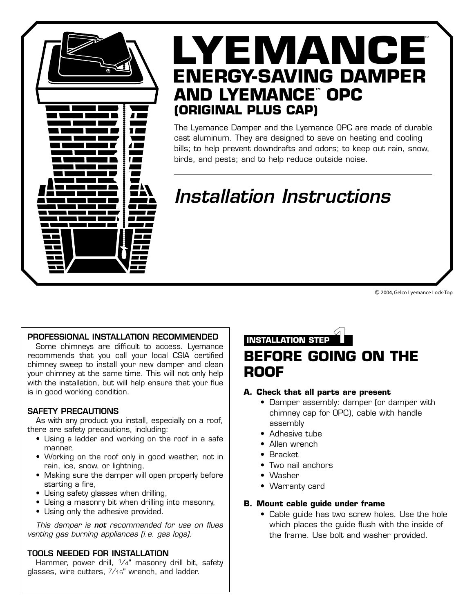

# LYEMANCE **ENERGY-SAVING DAMPER AND LYEMANCE™ OPC (ORIGINAL PLUS CAP)**

The Lyemance Damper and the Lyemance OPC are made of durable cast aluminum. They are designed to save on heating and cooling bills; to help prevent downdrafts and odors; to keep out rain, snow, birds, and pests; and to help reduce outside noise.

# *Installation Instructions*

© 2004, Gelco Lyemance Lock-Top

### **PROFESSIONAL INSTALLATION RECOMMENDED**

Some chimneys are difficult to access. Lyemance recommends that you call your local CSIA certified chimney sweep to install your new damper and clean your chimney at the same time. This will not only help with the installation, but will help ensure that your flue is in good working condition.

### **SAFETY PRECAUTIONS**

As with any product you install, especially on a roof, there are safety precautions, including:

- Using a ladder and working on the roof in a safe manner,
- Working on the roof only in good weather, not in rain, ice, snow, or lightning,
- Making sure the damper will open properly before starting a fire,
- Using safety glasses when drilling,
- Using a masonry bit when drilling into masonry,
- Using only the adhesive provided.

*This damper is not recommended for use on flues venting gas burning appliances (i.e. gas logs).*

### **TOOLS NEEDED FOR INSTALLATION**

Hammer, power drill, <sup>1</sup>/4" masonry drill bit, safety glasses, wire cutters, 7⁄16" wrench, and ladder.

**INSTALLATION STEP 1**

### **BEFORE GOING ON THE ROOF**

### **A. Check that all parts are present**

- Damper assembly: damper (or damper with chimney cap for OPC), cable with handle assembly
- Adhesive tube
- Allen wrench
- Bracket
- Two nail anchors
- Washer
- Warranty card

### **B. Mount cable guide under frame**

• Cable guide has two screw holes. Use the hole which places the guide flush with the inside of the frame. Use bolt and washer provided.